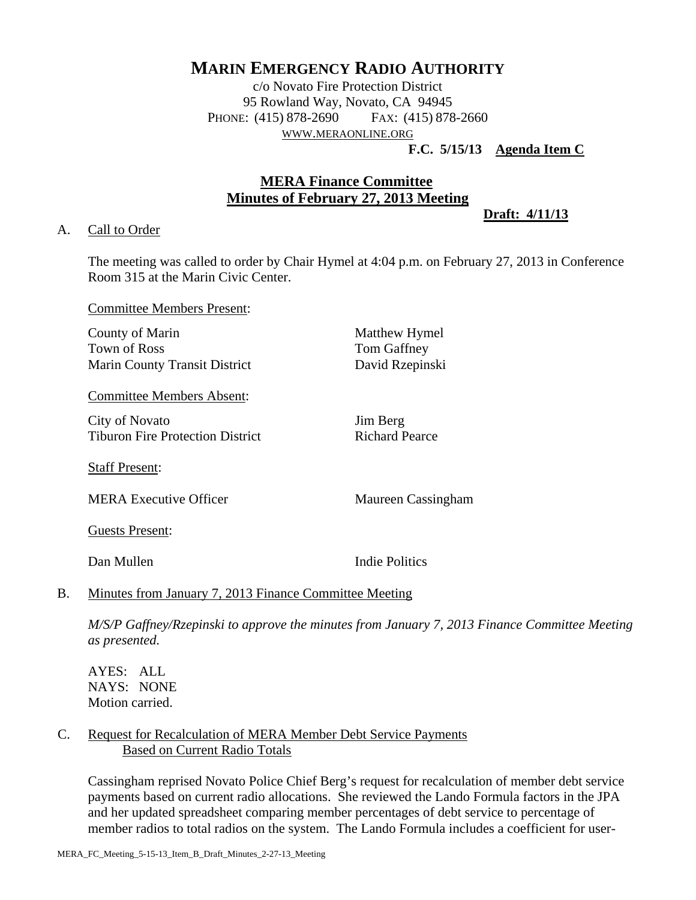# **MARIN EMERGENCY RADIO AUTHORITY**

c/o Novato Fire Protection District 95 Rowland Way, Novato, CA 94945 PHONE: (415) 878-2690 FAX: (415) 878-2660 WWW.MERAONLINE.ORG

**F.C. 5/15/13 Agenda Item C**

# **MERA Finance Committee Minutes of February 27, 2013 Meeting**

**Draft: 4/11/13**

# A. Call to Order

The meeting was called to order by Chair Hymel at 4:04 p.m. on February 27, 2013 in Conference Room 315 at the Marin Civic Center.

Committee Members Present:

County of Marin Matthew Hymel Town of Ross Tom Gaffney Marin County Transit District David Rzepinski

Committee Members Absent:

City of Novato Jim Berg Tiburon Fire Protection District Richard Pearce

Staff Present:

MERA Executive Officer Maureen Cassingham

Guests Present:

Dan Mullen **Indie Politics** 

# B. Minutes from January 7, 2013 Finance Committee Meeting

*M/S/P Gaffney/Rzepinski to approve the minutes from January 7, 2013 Finance Committee Meeting as presented.* 

AYES: ALL NAYS: NONE Motion carried.

# C. Request for Recalculation of MERA Member Debt Service Payments Based on Current Radio Totals

Cassingham reprised Novato Police Chief Berg's request for recalculation of member debt service payments based on current radio allocations. She reviewed the Lando Formula factors in the JPA and her updated spreadsheet comparing member percentages of debt service to percentage of member radios to total radios on the system. The Lando Formula includes a coefficient for user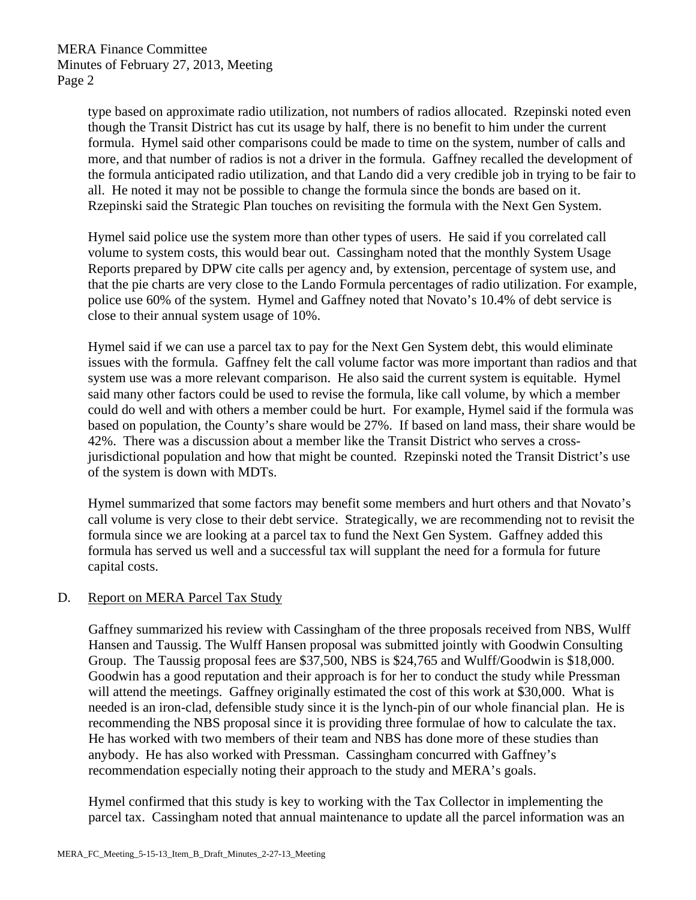type based on approximate radio utilization, not numbers of radios allocated. Rzepinski noted even though the Transit District has cut its usage by half, there is no benefit to him under the current formula. Hymel said other comparisons could be made to time on the system, number of calls and more, and that number of radios is not a driver in the formula. Gaffney recalled the development of the formula anticipated radio utilization, and that Lando did a very credible job in trying to be fair to all. He noted it may not be possible to change the formula since the bonds are based on it. Rzepinski said the Strategic Plan touches on revisiting the formula with the Next Gen System.

Hymel said police use the system more than other types of users. He said if you correlated call volume to system costs, this would bear out. Cassingham noted that the monthly System Usage Reports prepared by DPW cite calls per agency and, by extension, percentage of system use, and that the pie charts are very close to the Lando Formula percentages of radio utilization. For example, police use 60% of the system. Hymel and Gaffney noted that Novato's 10.4% of debt service is close to their annual system usage of 10%.

Hymel said if we can use a parcel tax to pay for the Next Gen System debt, this would eliminate issues with the formula. Gaffney felt the call volume factor was more important than radios and that system use was a more relevant comparison. He also said the current system is equitable. Hymel said many other factors could be used to revise the formula, like call volume, by which a member could do well and with others a member could be hurt. For example, Hymel said if the formula was based on population, the County's share would be 27%. If based on land mass, their share would be 42%. There was a discussion about a member like the Transit District who serves a crossjurisdictional population and how that might be counted. Rzepinski noted the Transit District's use of the system is down with MDTs.

Hymel summarized that some factors may benefit some members and hurt others and that Novato's call volume is very close to their debt service. Strategically, we are recommending not to revisit the formula since we are looking at a parcel tax to fund the Next Gen System. Gaffney added this formula has served us well and a successful tax will supplant the need for a formula for future capital costs.

# D. Report on MERA Parcel Tax Study

Gaffney summarized his review with Cassingham of the three proposals received from NBS, Wulff Hansen and Taussig. The Wulff Hansen proposal was submitted jointly with Goodwin Consulting Group. The Taussig proposal fees are \$37,500, NBS is \$24,765 and Wulff/Goodwin is \$18,000. Goodwin has a good reputation and their approach is for her to conduct the study while Pressman will attend the meetings. Gaffney originally estimated the cost of this work at \$30,000. What is needed is an iron-clad, defensible study since it is the lynch-pin of our whole financial plan. He is recommending the NBS proposal since it is providing three formulae of how to calculate the tax. He has worked with two members of their team and NBS has done more of these studies than anybody. He has also worked with Pressman. Cassingham concurred with Gaffney's recommendation especially noting their approach to the study and MERA's goals.

Hymel confirmed that this study is key to working with the Tax Collector in implementing the parcel tax. Cassingham noted that annual maintenance to update all the parcel information was an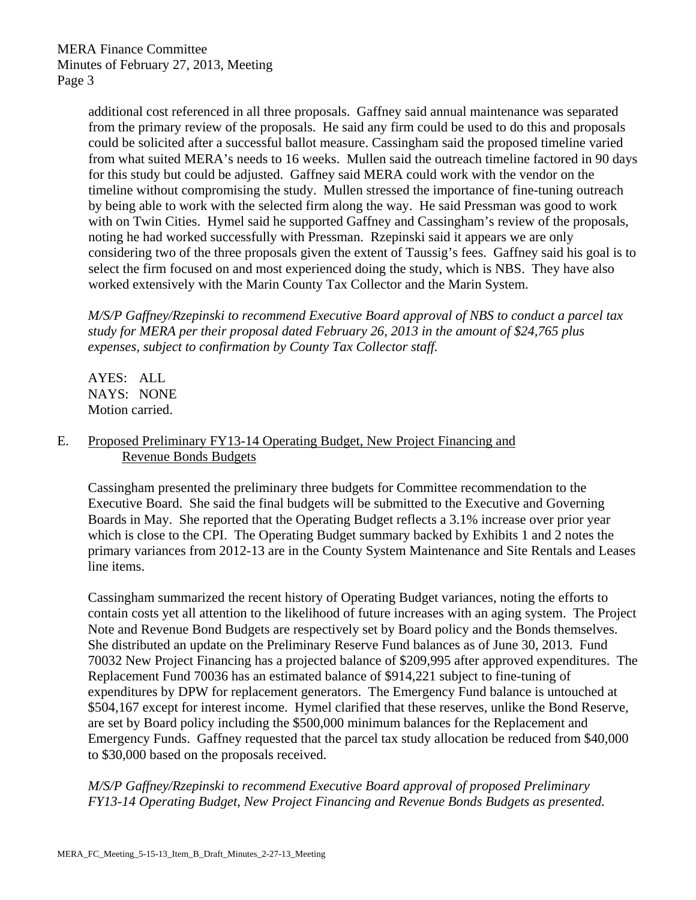MERA Finance Committee Minutes of February 27, 2013, Meeting Page 3

> additional cost referenced in all three proposals. Gaffney said annual maintenance was separated from the primary review of the proposals. He said any firm could be used to do this and proposals could be solicited after a successful ballot measure. Cassingham said the proposed timeline varied from what suited MERA's needs to 16 weeks. Mullen said the outreach timeline factored in 90 days for this study but could be adjusted. Gaffney said MERA could work with the vendor on the timeline without compromising the study. Mullen stressed the importance of fine-tuning outreach by being able to work with the selected firm along the way. He said Pressman was good to work with on Twin Cities. Hymel said he supported Gaffney and Cassingham's review of the proposals, noting he had worked successfully with Pressman. Rzepinski said it appears we are only considering two of the three proposals given the extent of Taussig's fees. Gaffney said his goal is to select the firm focused on and most experienced doing the study, which is NBS. They have also worked extensively with the Marin County Tax Collector and the Marin System.

*M/S/P Gaffney/Rzepinski to recommend Executive Board approval of NBS to conduct a parcel tax study for MERA per their proposal dated February 26, 2013 in the amount of \$24,765 plus expenses, subject to confirmation by County Tax Collector staff.* 

AYES: ALL NAYS: NONE Motion carried.

# E. Proposed Preliminary FY13-14 Operating Budget, New Project Financing and Revenue Bonds Budgets

Cassingham presented the preliminary three budgets for Committee recommendation to the Executive Board. She said the final budgets will be submitted to the Executive and Governing Boards in May. She reported that the Operating Budget reflects a 3.1% increase over prior year which is close to the CPI. The Operating Budget summary backed by Exhibits 1 and 2 notes the primary variances from 2012-13 are in the County System Maintenance and Site Rentals and Leases line items.

Cassingham summarized the recent history of Operating Budget variances, noting the efforts to contain costs yet all attention to the likelihood of future increases with an aging system. The Project Note and Revenue Bond Budgets are respectively set by Board policy and the Bonds themselves. She distributed an update on the Preliminary Reserve Fund balances as of June 30, 2013. Fund 70032 New Project Financing has a projected balance of \$209,995 after approved expenditures. The Replacement Fund 70036 has an estimated balance of \$914,221 subject to fine-tuning of expenditures by DPW for replacement generators. The Emergency Fund balance is untouched at \$504,167 except for interest income. Hymel clarified that these reserves, unlike the Bond Reserve, are set by Board policy including the \$500,000 minimum balances for the Replacement and Emergency Funds. Gaffney requested that the parcel tax study allocation be reduced from \$40,000 to \$30,000 based on the proposals received.

*M/S/P Gaffney/Rzepinski to recommend Executive Board approval of proposed Preliminary FY13-14 Operating Budget, New Project Financing and Revenue Bonds Budgets as presented.*